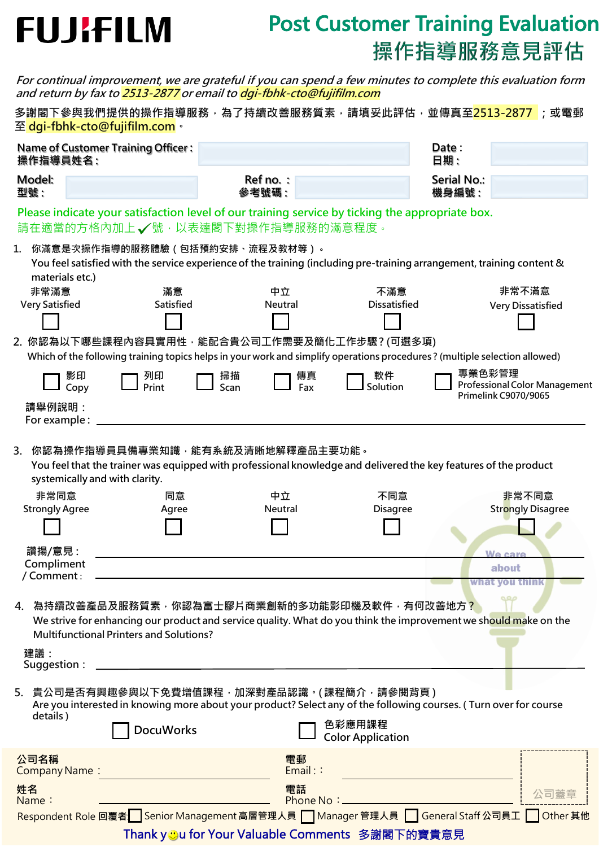# **FUJIFILM**

### **Post Customer Training Evaluation** 操作指導服務意見評估

|                                                       | For continual improvement, we are grateful if you can spend a few minutes to complete this evaluation form<br>and return by fax to 2513-2877 or email to dgi-fbhk-cto@fujifilm.com                                             |                    |                                                         |                              |                                                              |
|-------------------------------------------------------|--------------------------------------------------------------------------------------------------------------------------------------------------------------------------------------------------------------------------------|--------------------|---------------------------------------------------------|------------------------------|--------------------------------------------------------------|
|                                                       | 多謝閣下參與我們提供的操作指導服務,為了持續改善服務質素,請填妥此評估,並傳真至 <mark>2513-2877</mark> ;或電郵<br>至 dgi-fbhk-cto@fujifilm.com。                                                                                                                           |                    |                                                         |                              |                                                              |
| <b>Name of Customer Training Officer:</b><br>操作指導員姓名: |                                                                                                                                                                                                                                |                    |                                                         | Date:<br>日期:                 |                                                              |
| Model:<br>型號:                                         |                                                                                                                                                                                                                                | Ref no.:<br>參考號碼 : |                                                         | <b>Serial No.:</b><br>機身編號 : |                                                              |
|                                                       | Please indicate your satisfaction level of our training service by ticking the appropriate box.<br>請在適當的方格內加上√號,以表達閣下對操作指導服務的滿意程度。                                                                                             |                    |                                                         |                              |                                                              |
| 1.<br>materials etc.)                                 | 你滿意是次操作指導的服務體驗(包括預約安排、流程及教材等)。<br>You feel satisfied with the service experience of the training (including pre-training arrangement, training content &                                                                       |                    |                                                         |                              |                                                              |
| 非常滿意<br><b>Very Satisfied</b>                         | 滿意<br>Satisfied                                                                                                                                                                                                                | 中立<br>Neutral      | 不滿意<br><b>Dissatisfied</b>                              |                              | 非常不滿意<br><b>Very Dissatisfied</b>                            |
|                                                       | 2. 你認為以下哪些課程內容具實用性,能配合貴公司工作需要及簡化工作步驟?(可選多項)<br>Which of the following training topics helps in your work and simplify operations procedures? (multiple selection allowed)                                                      |                    |                                                         |                              |                                                              |
|                                                       | 影印<br>列印<br>Print<br>Copy                                                                                                                                                                                                      | 掃描<br>Scan         | 軟件<br>傳真<br>Solution<br>Fax                             | 專業色彩管理                       | <b>Professional Color Management</b><br>Primelink C9070/9065 |
| 請舉例說明:<br>For example:                                |                                                                                                                                                                                                                                |                    |                                                         |                              |                                                              |
| 3.<br>非常同意<br><b>Strongly Agree</b>                   | 你認為操作指導員具備專業知識,能有系統及清晰地解釋產品主要功能。<br>You feel that the trainer was equipped with professional knowledge and delivered the key features of the product<br>systemically and with clarity.<br>同意<br>Agree                          | 中立<br>Neutral      | 不同意<br><b>Disagree</b>                                  |                              | 非常不同意<br><b>Strongly Disagree</b>                            |
|                                                       |                                                                                                                                                                                                                                |                    |                                                         |                              |                                                              |
| 讚揚/意見:<br>Compliment<br>/ Comment:                    |                                                                                                                                                                                                                                |                    |                                                         |                              | We care<br>about<br>what you think                           |
| 4.<br>建議:<br>Suggestion:                              | 為持續改善產品及服務質素,你認為富士膠片商業創新的多功能影印機及軟件,有何改善地方 <mark>?</mark><br>We strive for enhancing our product and service quality. What do you think the improvement we should make on the<br><b>Multifunctional Printers and Solutions?</b> |                    |                                                         |                              |                                                              |
| details)                                              | 5. 貴公司是否有興趣參與以下免費增值課程,加深對產品認識。(課程簡介,請參閱背頁)<br>Are you interested in knowing more about your product? Select any of the following courses. (Turn over for course<br><b>DocuWorks</b>                                            |                    | 色彩應用課程<br><b>Color Application</b>                      |                              |                                                              |
| 公司名稱<br>Company Name:                                 |                                                                                                                                                                                                                                | 電郵<br>Email:       |                                                         |                              |                                                              |
| 姓名<br>Name:                                           |                                                                                                                                                                                                                                | 電話                 | Phone No: _                                             |                              | 公司蓋                                                          |
|                                                       | Respondent Role 回覆者 Senior Management 高層管理人員 Manager 管理人員 Seneral Staff 公司員工 Other 其他                                                                                                                                          |                    | Thank y <b>J</b> u for Your Valuable Comments 多謝閣下的寶貴意見 |                              |                                                              |